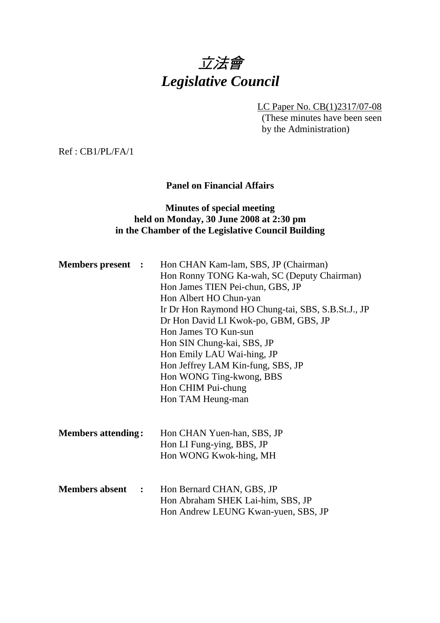# 立法會 *Legislative Council*

LC Paper No. CB(1)2317/07-08

(These minutes have been seen by the Administration)

Ref : CB1/PL/FA/1

#### **Panel on Financial Affairs**

#### **Minutes of special meeting held on Monday, 30 June 2008 at 2:30 pm in the Chamber of the Legislative Council Building**

| <b>Members present :</b>  | Hon CHAN Kam-lam, SBS, JP (Chairman)<br>Hon Ronny TONG Ka-wah, SC (Deputy Chairman)<br>Hon James TIEN Pei-chun, GBS, JP<br>Hon Albert HO Chun-yan<br>Ir Dr Hon Raymond HO Chung-tai, SBS, S.B.St.J., JP<br>Dr Hon David LI Kwok-po, GBM, GBS, JP<br>Hon James TO Kun-sun<br>Hon SIN Chung-kai, SBS, JP<br>Hon Emily LAU Wai-hing, JP<br>Hon Jeffrey LAM Kin-fung, SBS, JP<br>Hon WONG Ting-kwong, BBS<br>Hon CHIM Pui-chung<br>Hon TAM Heung-man |
|---------------------------|--------------------------------------------------------------------------------------------------------------------------------------------------------------------------------------------------------------------------------------------------------------------------------------------------------------------------------------------------------------------------------------------------------------------------------------------------|
| <b>Members attending:</b> | Hon CHAN Yuen-han, SBS, JP<br>Hon LI Fung-ying, BBS, JP<br>Hon WONG Kwok-hing, MH                                                                                                                                                                                                                                                                                                                                                                |
| <b>Members absent :</b>   | Hon Bernard CHAN, GBS, JP<br>Hon Abraham SHEK Lai-him, SBS, JP<br>Hon Andrew LEUNG Kwan-yuen, SBS, JP                                                                                                                                                                                                                                                                                                                                            |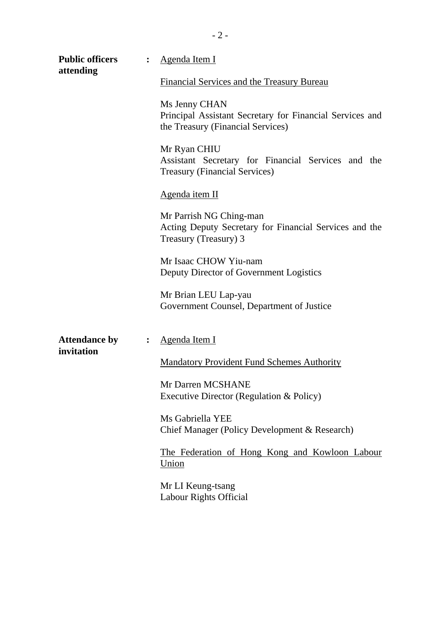| <b>Public officers</b><br>attending |                | Agenda Item I                                                                                                  |  |  |  |  |  |
|-------------------------------------|----------------|----------------------------------------------------------------------------------------------------------------|--|--|--|--|--|
|                                     |                | <b>Financial Services and the Treasury Bureau</b>                                                              |  |  |  |  |  |
|                                     |                | Ms Jenny CHAN<br>Principal Assistant Secretary for Financial Services and<br>the Treasury (Financial Services) |  |  |  |  |  |
|                                     |                | Mr Ryan CHIU<br>Assistant Secretary for Financial Services and the<br><b>Treasury (Financial Services)</b>     |  |  |  |  |  |
|                                     |                | Agenda item II                                                                                                 |  |  |  |  |  |
|                                     |                | Mr Parrish NG Ching-man<br>Acting Deputy Secretary for Financial Services and the<br>Treasury (Treasury) 3     |  |  |  |  |  |
|                                     |                | Mr Isaac CHOW Yiu-nam<br>Deputy Director of Government Logistics                                               |  |  |  |  |  |
|                                     |                | Mr Brian LEU Lap-yau<br>Government Counsel, Department of Justice                                              |  |  |  |  |  |
| <b>Attendance by</b><br>invitation  | $\ddot{\cdot}$ | <u>Agenda Item I</u>                                                                                           |  |  |  |  |  |
|                                     |                | <b>Mandatory Provident Fund Schemes Authority</b>                                                              |  |  |  |  |  |
|                                     |                | Mr Darren MCSHANE<br>Executive Director (Regulation & Policy)                                                  |  |  |  |  |  |
|                                     |                | Ms Gabriella YEE<br>Chief Manager (Policy Development & Research)                                              |  |  |  |  |  |
|                                     |                | The Federation of Hong Kong and Kowloon Labour<br><u>Union</u>                                                 |  |  |  |  |  |
|                                     |                | Mr LI Keung-tsang<br>Labour Rights Official                                                                    |  |  |  |  |  |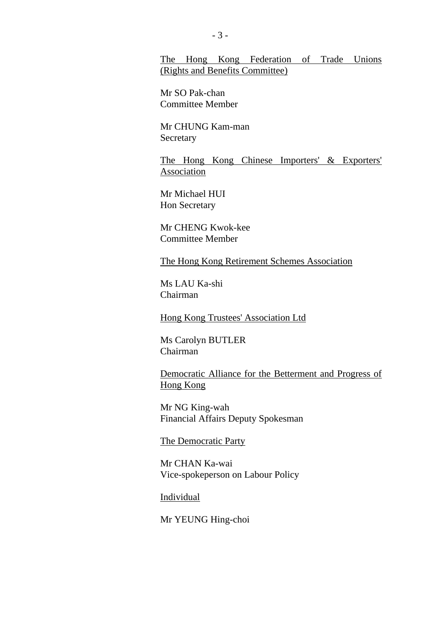#### The Hong Kong Federation of Trade Unions (Rights and Benefits Committee)

Mr SO Pak-chan Committee Member

Mr CHUNG Kam-man Secretary

The Hong Kong Chinese Importers' & Exporters' Association

Mr Michael HUI Hon Secretary

Mr CHENG Kwok-kee Committee Member

The Hong Kong Retirement Schemes Association

Ms LAU Ka-shi Chairman

Hong Kong Trustees' Association Ltd

Ms Carolyn BUTLER Chairman

Democratic Alliance for the Betterment and Progress of Hong Kong

Mr NG King-wah Financial Affairs Deputy Spokesman

The Democratic Party

Mr CHAN Ka-wai Vice-spokeperson on Labour Policy

Individual

Mr YEUNG Hing-choi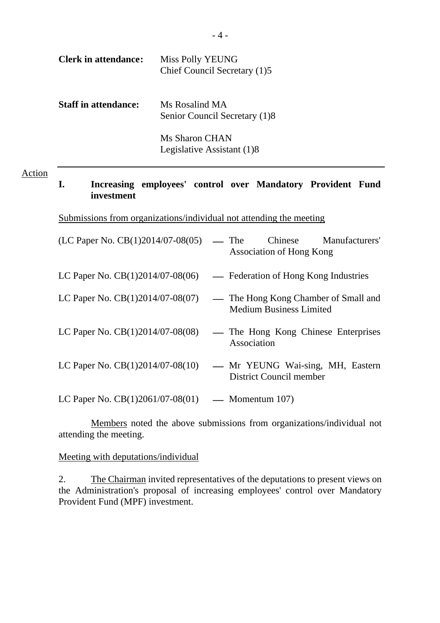| <b>Clerk in attendance:</b> | Miss Polly YEUNG<br>Chief Council Secretary (1)5    |
|-----------------------------|-----------------------------------------------------|
| <b>Staff in attendance:</b> | Ms Rosalind MA<br>Senior Council Secretary (1)8     |
|                             | <b>Ms Sharon CHAN</b><br>Legislative Assistant (1)8 |

#### Action

# **I. Increasing employees' control over Mandatory Provident Fund investment**

Submissions from organizations/individual not attending the meeting

| (LC Paper No. $CB(1)2014/07-08(05)$ | Chinese Manufacturers'<br>— The<br>Association of Hong Kong            |
|-------------------------------------|------------------------------------------------------------------------|
| LC Paper No. $CB(1)2014/07-08(06)$  | - Federation of Hong Kong Industries                                   |
| LC Paper No. $CB(1)2014/07-08(07)$  | — The Hong Kong Chamber of Small and<br><b>Medium Business Limited</b> |
| LC Paper No. $CB(1)2014/07-08(08)$  | — The Hong Kong Chinese Enterprises<br>Association                     |
| LC Paper No. $CB(1)2014/07-08(10)$  | - Mr YEUNG Wai-sing, MH, Eastern<br>District Council member            |
| LC Paper No. $CB(1)2061/07-08(01)$  | — Momentum $107$ )                                                     |

Members noted the above submissions from organizations/individual not attending the meeting.

#### Meeting with deputations/individual

2. The Chairman invited representatives of the deputations to present views on the Administration's proposal of increasing employees' control over Mandatory Provident Fund (MPF) investment.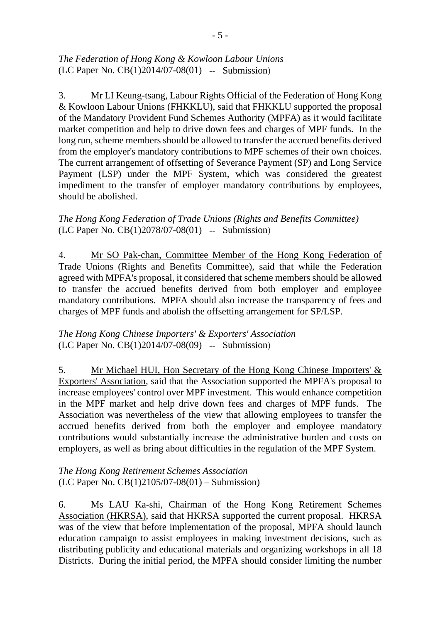## *The Federation of Hong Kong & Kowloon Labour Unions*  (LC Paper No. CB(1)2014/07-08(01) -- Submission)

3. Mr LI Keung-tsang, Labour Rights Official of the Federation of Hong Kong & Kowloon Labour Unions (FHKKLU), said that FHKKLU supported the proposal of the Mandatory Provident Fund Schemes Authority (MPFA) as it would facilitate market competition and help to drive down fees and charges of MPF funds. In the long run, scheme members should be allowed to transfer the accrued benefits derived from the employer's mandatory contributions to MPF schemes of their own choices. The current arrangement of offsetting of Severance Payment (SP) and Long Service Payment (LSP) under the MPF System, which was considered the greatest impediment to the transfer of employer mandatory contributions by employees, should be abolished.

# *The Hong Kong Federation of Trade Unions (Rights and Benefits Committee)*  (LC Paper No. CB(1)2078/07-08(01) -- Submission)

4. Mr SO Pak-chan, Committee Member of the Hong Kong Federation of Trade Unions (Rights and Benefits Committee), said that while the Federation agreed with MPFA's proposal, it considered that scheme members should be allowed to transfer the accrued benefits derived from both employer and employee mandatory contributions. MPFA should also increase the transparency of fees and charges of MPF funds and abolish the offsetting arrangement for SP/LSP.

## *The Hong Kong Chinese Importers' & Exporters' Association*  (LC Paper No. CB(1)2014/07-08(09) -- Submission)

5. Mr Michael HUI, Hon Secretary of the Hong Kong Chinese Importers' & Exporters' Association, said that the Association supported the MPFA's proposal to increase employees' control over MPF investment. This would enhance competition in the MPF market and help drive down fees and charges of MPF funds. The Association was nevertheless of the view that allowing employees to transfer the accrued benefits derived from both the employer and employee mandatory contributions would substantially increase the administrative burden and costs on employers, as well as bring about difficulties in the regulation of the MPF System.

*The Hong Kong Retirement Schemes Association*  (LC Paper No. CB(1)2105/07-08(01) – Submission)

6. Ms LAU Ka-shi, Chairman of the Hong Kong Retirement Schemes Association (HKRSA), said that HKRSA supported the current proposal. HKRSA was of the view that before implementation of the proposal, MPFA should launch education campaign to assist employees in making investment decisions, such as distributing publicity and educational materials and organizing workshops in all 18 Districts. During the initial period, the MPFA should consider limiting the number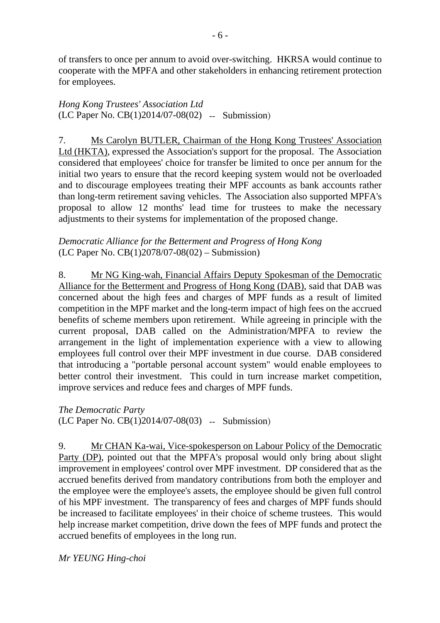of transfers to once per annum to avoid over-switching. HKRSA would continue to cooperate with the MPFA and other stakeholders in enhancing retirement protection for employees.

*Hong Kong Trustees' Association Ltd*  (LC Paper No. CB(1)2014/07-08(02) -- Submission)

7. Ms Carolyn BUTLER, Chairman of the Hong Kong Trustees' Association Ltd (HKTA), expressed the Association's support for the proposal. The Association considered that employees' choice for transfer be limited to once per annum for the initial two years to ensure that the record keeping system would not be overloaded and to discourage employees treating their MPF accounts as bank accounts rather than long-term retirement saving vehicles. The Association also supported MPFA's proposal to allow 12 months' lead time for trustees to make the necessary adjustments to their systems for implementation of the proposed change.

## *Democratic Alliance for the Betterment and Progress of Hong Kong*  (LC Paper No. CB(1)2078/07-08(02) – Submission)

8. Mr NG King-wah, Financial Affairs Deputy Spokesman of the Democratic Alliance for the Betterment and Progress of Hong Kong (DAB), said that DAB was concerned about the high fees and charges of MPF funds as a result of limited competition in the MPF market and the long-term impact of high fees on the accrued benefits of scheme members upon retirement. While agreeing in principle with the current proposal, DAB called on the Administration/MPFA to review the arrangement in the light of implementation experience with a view to allowing employees full control over their MPF investment in due course. DAB considered that introducing a "portable personal account system" would enable employees to better control their investment. This could in turn increase market competition, improve services and reduce fees and charges of MPF funds.

*The Democratic Party*  (LC Paper No. CB(1)2014/07-08(03) -- Submission)

9. Mr CHAN Ka-wai, Vice-spokesperson on Labour Policy of the Democratic Party (DP), pointed out that the MPFA's proposal would only bring about slight improvement in employees' control over MPF investment. DP considered that as the accrued benefits derived from mandatory contributions from both the employer and the employee were the employee's assets, the employee should be given full control of his MPF investment. The transparency of fees and charges of MPF funds should be increased to facilitate employees' in their choice of scheme trustees. This would help increase market competition, drive down the fees of MPF funds and protect the accrued benefits of employees in the long run.

*Mr YEUNG Hing-choi*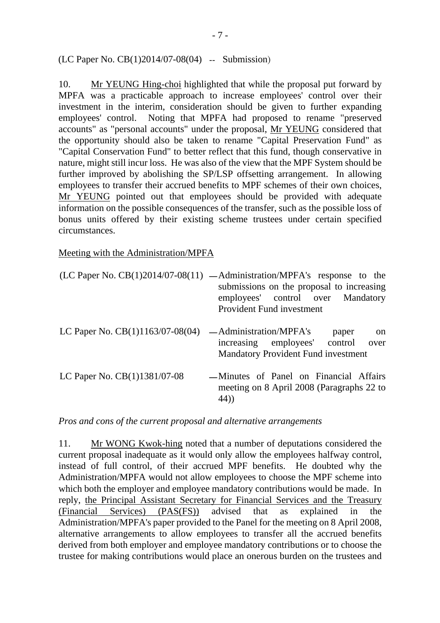(LC Paper No. CB(1)2014/07-08(04) -- Submission)

10. Mr YEUNG Hing-choi highlighted that while the proposal put forward by MPFA was a practicable approach to increase employees' control over their investment in the interim, consideration should be given to further expanding employees' control. Noting that MPFA had proposed to rename "preserved accounts" as "personal accounts" under the proposal, Mr YEUNG considered that the opportunity should also be taken to rename "Capital Preservation Fund" as "Capital Conservation Fund" to better reflect that this fund, though conservative in nature, might still incur loss. He was also of the view that the MPF System should be further improved by abolishing the SP/LSP offsetting arrangement. In allowing employees to transfer their accrued benefits to MPF schemes of their own choices, Mr YEUNG pointed out that employees should be provided with adequate information on the possible consequences of the transfer, such as the possible loss of bonus units offered by their existing scheme trustees under certain specified circumstances.

Meeting with the Administration/MPFA

|                                    | $(LC$ Paper No. $CB(1)2014/07-08(11)$ — Administration/MPFA's response to the<br>submissions on the proposal to increasing<br>employees' control over Mandatory<br><b>Provident Fund investment</b> |
|------------------------------------|-----------------------------------------------------------------------------------------------------------------------------------------------------------------------------------------------------|
| LC Paper No. $CB(1)1163/07-08(04)$ | -Administration/MPFA's<br>paper<br><sub>on</sub><br>increasing employees' control<br>over<br><b>Mandatory Provident Fund investment</b>                                                             |
| LC Paper No. CB(1)1381/07-08       | -Minutes of Panel on Financial Affairs<br>meeting on 8 April 2008 (Paragraphs 22 to<br>44))                                                                                                         |

*Pros and cons of the current proposal and alternative arrangements* 

11. Mr WONG Kwok-hing noted that a number of deputations considered the current proposal inadequate as it would only allow the employees halfway control, instead of full control, of their accrued MPF benefits. He doubted why the Administration/MPFA would not allow employees to choose the MPF scheme into which both the employer and employee mandatory contributions would be made. In reply, the Principal Assistant Secretary for Financial Services and the Treasury (Financial Services) (PAS(FS)) advised that as explained in the Administration/MPFA's paper provided to the Panel for the meeting on 8 April 2008, alternative arrangements to allow employees to transfer all the accrued benefits derived from both employer and employee mandatory contributions or to choose the trustee for making contributions would place an onerous burden on the trustees and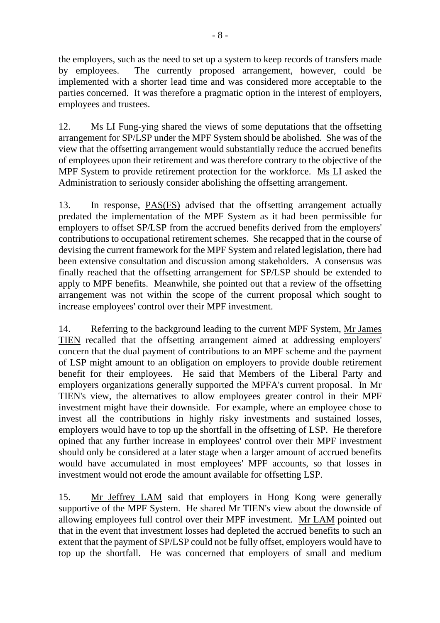the employers, such as the need to set up a system to keep records of transfers made by employees. The currently proposed arrangement, however, could be implemented with a shorter lead time and was considered more acceptable to the parties concerned. It was therefore a pragmatic option in the interest of employers, employees and trustees.

12. Ms LI Fung-ying shared the views of some deputations that the offsetting arrangement for SP/LSP under the MPF System should be abolished. She was of the view that the offsetting arrangement would substantially reduce the accrued benefits of employees upon their retirement and was therefore contrary to the objective of the MPF System to provide retirement protection for the workforce. Ms LI asked the Administration to seriously consider abolishing the offsetting arrangement.

13. In response, PAS(FS) advised that the offsetting arrangement actually predated the implementation of the MPF System as it had been permissible for employers to offset SP/LSP from the accrued benefits derived from the employers' contributions to occupational retirement schemes. She recapped that in the course of devising the current framework for the MPF System and related legislation, there had been extensive consultation and discussion among stakeholders. A consensus was finally reached that the offsetting arrangement for SP/LSP should be extended to apply to MPF benefits. Meanwhile, she pointed out that a review of the offsetting arrangement was not within the scope of the current proposal which sought to increase employees' control over their MPF investment.

14. Referring to the background leading to the current MPF System, Mr James TIEN recalled that the offsetting arrangement aimed at addressing employers' concern that the dual payment of contributions to an MPF scheme and the payment of LSP might amount to an obligation on employers to provide double retirement benefit for their employees. He said that Members of the Liberal Party and employers organizations generally supported the MPFA's current proposal. In Mr TIEN's view, the alternatives to allow employees greater control in their MPF investment might have their downside. For example, where an employee chose to invest all the contributions in highly risky investments and sustained losses, employers would have to top up the shortfall in the offsetting of LSP. He therefore opined that any further increase in employees' control over their MPF investment should only be considered at a later stage when a larger amount of accrued benefits would have accumulated in most employees' MPF accounts, so that losses in investment would not erode the amount available for offsetting LSP.

15. Mr Jeffrey LAM said that employers in Hong Kong were generally supportive of the MPF System. He shared Mr TIEN's view about the downside of allowing employees full control over their MPF investment. Mr LAM pointed out that in the event that investment losses had depleted the accrued benefits to such an extent that the payment of SP/LSP could not be fully offset, employers would have to top up the shortfall. He was concerned that employers of small and medium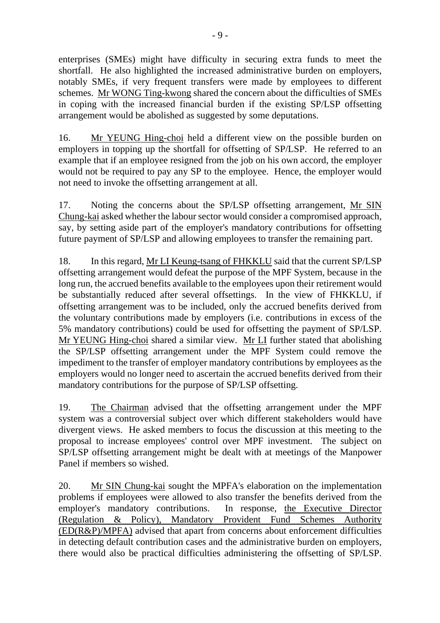enterprises (SMEs) might have difficulty in securing extra funds to meet the shortfall. He also highlighted the increased administrative burden on employers, notably SMEs, if very frequent transfers were made by employees to different schemes. Mr WONG Ting-kwong shared the concern about the difficulties of SMEs in coping with the increased financial burden if the existing SP/LSP offsetting arrangement would be abolished as suggested by some deputations.

16. Mr YEUNG Hing-choi held a different view on the possible burden on employers in topping up the shortfall for offsetting of SP/LSP. He referred to an example that if an employee resigned from the job on his own accord, the employer would not be required to pay any SP to the employee. Hence, the employer would not need to invoke the offsetting arrangement at all.

17. Noting the concerns about the SP/LSP offsetting arrangement, Mr SIN Chung-kai asked whether the labour sector would consider a compromised approach, say, by setting aside part of the employer's mandatory contributions for offsetting future payment of SP/LSP and allowing employees to transfer the remaining part.

18. In this regard, Mr LI Keung-tsang of FHKKLU said that the current SP/LSP offsetting arrangement would defeat the purpose of the MPF System, because in the long run, the accrued benefits available to the employees upon their retirement would be substantially reduced after several offsettings. In the view of FHKKLU, if offsetting arrangement was to be included, only the accrued benefits derived from the voluntary contributions made by employers (i.e. contributions in excess of the 5% mandatory contributions) could be used for offsetting the payment of SP/LSP. Mr YEUNG Hing-choi shared a similar view. Mr LI further stated that abolishing the SP/LSP offsetting arrangement under the MPF System could remove the impediment to the transfer of employer mandatory contributions by employees as the employers would no longer need to ascertain the accrued benefits derived from their mandatory contributions for the purpose of SP/LSP offsetting.

19. The Chairman advised that the offsetting arrangement under the MPF system was a controversial subject over which different stakeholders would have divergent views. He asked members to focus the discussion at this meeting to the proposal to increase employees' control over MPF investment. The subject on SP/LSP offsetting arrangement might be dealt with at meetings of the Manpower Panel if members so wished.

20. Mr SIN Chung-kai sought the MPFA's elaboration on the implementation problems if employees were allowed to also transfer the benefits derived from the employer's mandatory contributions. In response, the Executive Director (Regulation & Policy), Mandatory Provident Fund Schemes Authority (ED(R&P)/MPFA) advised that apart from concerns about enforcement difficulties in detecting default contribution cases and the administrative burden on employers, there would also be practical difficulties administering the offsetting of SP/LSP.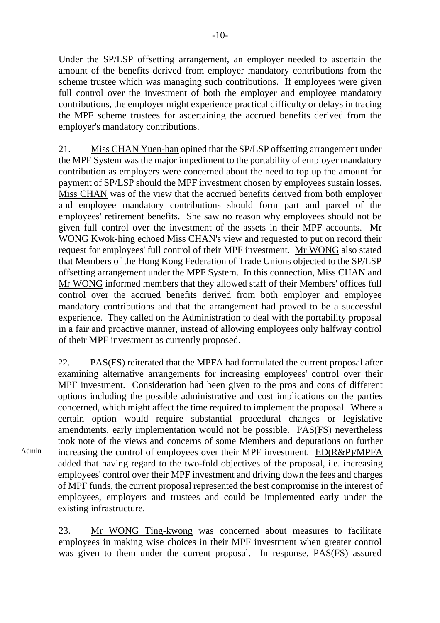Under the SP/LSP offsetting arrangement, an employer needed to ascertain the amount of the benefits derived from employer mandatory contributions from the scheme trustee which was managing such contributions. If employees were given full control over the investment of both the employer and employee mandatory contributions, the employer might experience practical difficulty or delays in tracing the MPF scheme trustees for ascertaining the accrued benefits derived from the employer's mandatory contributions.

21. Miss CHAN Yuen-han opined that the SP/LSP offsetting arrangement under the MPF System was the major impediment to the portability of employer mandatory contribution as employers were concerned about the need to top up the amount for payment of SP/LSP should the MPF investment chosen by employees sustain losses. Miss CHAN was of the view that the accrued benefits derived from both employer and employee mandatory contributions should form part and parcel of the employees' retirement benefits. She saw no reason why employees should not be given full control over the investment of the assets in their MPF accounts. Mr WONG Kwok-hing echoed Miss CHAN's view and requested to put on record their request for employees' full control of their MPF investment. Mr WONG also stated that Members of the Hong Kong Federation of Trade Unions objected to the SP/LSP offsetting arrangement under the MPF System. In this connection, Miss CHAN and Mr WONG informed members that they allowed staff of their Members' offices full control over the accrued benefits derived from both employer and employee mandatory contributions and that the arrangement had proved to be a successful experience. They called on the Administration to deal with the portability proposal in a fair and proactive manner, instead of allowing employees only halfway control of their MPF investment as currently proposed.

22. PAS(FS) reiterated that the MPFA had formulated the current proposal after examining alternative arrangements for increasing employees' control over their MPF investment. Consideration had been given to the pros and cons of different options including the possible administrative and cost implications on the parties concerned, which might affect the time required to implement the proposal. Where a certain option would require substantial procedural changes or legislative amendments, early implementation would not be possible. PAS(FS) nevertheless took note of the views and concerns of some Members and deputations on further increasing the control of employees over their MPF investment. ED(R&P)/MPFA added that having regard to the two-fold objectives of the proposal, i.e. increasing employees' control over their MPF investment and driving down the fees and charges of MPF funds, the current proposal represented the best compromise in the interest of employees, employers and trustees and could be implemented early under the existing infrastructure.

23. Mr WONG Ting-kwong was concerned about measures to facilitate employees in making wise choices in their MPF investment when greater control was given to them under the current proposal. In response, PAS(FS) assured

Admin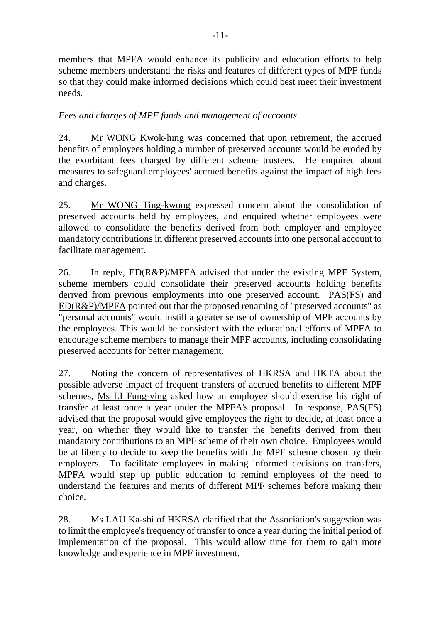members that MPFA would enhance its publicity and education efforts to help scheme members understand the risks and features of different types of MPF funds so that they could make informed decisions which could best meet their investment needs.

# *Fees and charges of MPF funds and management of accounts*

24. Mr WONG Kwok-hing was concerned that upon retirement, the accrued benefits of employees holding a number of preserved accounts would be eroded by the exorbitant fees charged by different scheme trustees. He enquired about measures to safeguard employees' accrued benefits against the impact of high fees and charges.

25. Mr WONG Ting-kwong expressed concern about the consolidation of preserved accounts held by employees, and enquired whether employees were allowed to consolidate the benefits derived from both employer and employee mandatory contributions in different preserved accounts into one personal account to facilitate management.

26. In reply, ED(R&P)/MPFA advised that under the existing MPF System, scheme members could consolidate their preserved accounts holding benefits derived from previous employments into one preserved account. PAS(FS) and ED(R&P)/MPFA pointed out that the proposed renaming of "preserved accounts" as "personal accounts" would instill a greater sense of ownership of MPF accounts by the employees. This would be consistent with the educational efforts of MPFA to encourage scheme members to manage their MPF accounts, including consolidating preserved accounts for better management.

27. Noting the concern of representatives of HKRSA and HKTA about the possible adverse impact of frequent transfers of accrued benefits to different MPF schemes, Ms LI Fung-ying asked how an employee should exercise his right of transfer at least once a year under the MPFA's proposal. In response, PAS(FS) advised that the proposal would give employees the right to decide, at least once a year, on whether they would like to transfer the benefits derived from their mandatory contributions to an MPF scheme of their own choice. Employees would be at liberty to decide to keep the benefits with the MPF scheme chosen by their employers. To facilitate employees in making informed decisions on transfers, MPFA would step up public education to remind employees of the need to understand the features and merits of different MPF schemes before making their choice.

28. Ms LAU Ka-shi of HKRSA clarified that the Association's suggestion was to limit the employee's frequency of transfer to once a year during the initial period of implementation of the proposal. This would allow time for them to gain more knowledge and experience in MPF investment.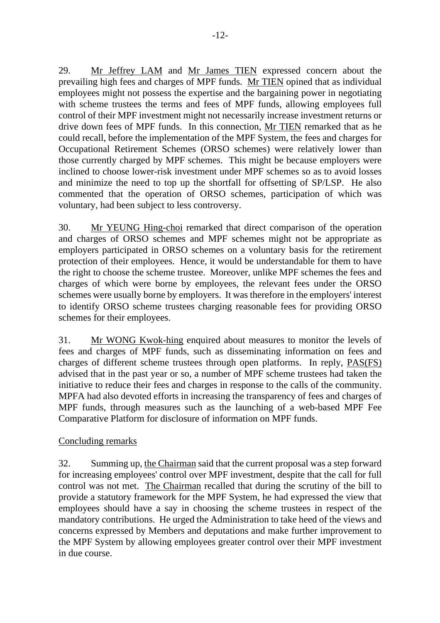29. Mr Jeffrey LAM and Mr James TIEN expressed concern about the prevailing high fees and charges of MPF funds. Mr TIEN opined that as individual employees might not possess the expertise and the bargaining power in negotiating with scheme trustees the terms and fees of MPF funds, allowing employees full control of their MPF investment might not necessarily increase investment returns or drive down fees of MPF funds. In this connection, Mr TIEN remarked that as he could recall, before the implementation of the MPF System, the fees and charges for Occupational Retirement Schemes (ORSO schemes) were relatively lower than those currently charged by MPF schemes. This might be because employers were inclined to choose lower-risk investment under MPF schemes so as to avoid losses and minimize the need to top up the shortfall for offsetting of SP/LSP. He also commented that the operation of ORSO schemes, participation of which was voluntary, had been subject to less controversy.

30. Mr YEUNG Hing-choi remarked that direct comparison of the operation and charges of ORSO schemes and MPF schemes might not be appropriate as employers participated in ORSO schemes on a voluntary basis for the retirement protection of their employees. Hence, it would be understandable for them to have the right to choose the scheme trustee. Moreover, unlike MPF schemes the fees and charges of which were borne by employees, the relevant fees under the ORSO schemes were usually borne by employers. It was therefore in the employers' interest to identify ORSO scheme trustees charging reasonable fees for providing ORSO schemes for their employees.

31. Mr WONG Kwok-hing enquired about measures to monitor the levels of fees and charges of MPF funds, such as disseminating information on fees and charges of different scheme trustees through open platforms. In reply, PAS(FS) advised that in the past year or so, a number of MPF scheme trustees had taken the initiative to reduce their fees and charges in response to the calls of the community. MPFA had also devoted efforts in increasing the transparency of fees and charges of MPF funds, through measures such as the launching of a web-based MPF Fee Comparative Platform for disclosure of information on MPF funds.

# Concluding remarks

32. Summing up, the Chairman said that the current proposal was a step forward for increasing employees' control over MPF investment, despite that the call for full control was not met. The Chairman recalled that during the scrutiny of the bill to provide a statutory framework for the MPF System, he had expressed the view that employees should have a say in choosing the scheme trustees in respect of the mandatory contributions. He urged the Administration to take heed of the views and concerns expressed by Members and deputations and make further improvement to the MPF System by allowing employees greater control over their MPF investment in due course.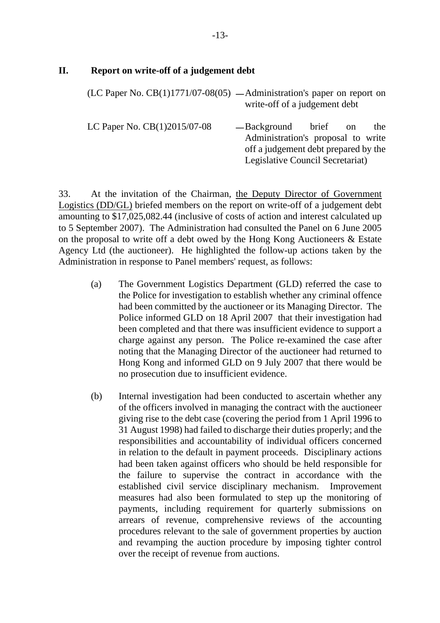#### **II. Report on write-off of a judgement debt**

|                                | (LC Paper No. $CB(1)1771/07-08(05)$ — Administration's paper on report on<br>write-off of a judgement debt                             |  |  |     |
|--------------------------------|----------------------------------------------------------------------------------------------------------------------------------------|--|--|-----|
| LC Paper No. $CB(1)2015/07-08$ | -Background brief on<br>Administration's proposal to write<br>off a judgement debt prepared by the<br>Legislative Council Secretariat) |  |  | the |

33. At the invitation of the Chairman, the Deputy Director of Government Logistics (DD/GL) briefed members on the report on write-off of a judgement debt amounting to \$17,025,082.44 (inclusive of costs of action and interest calculated up to 5 September 2007). The Administration had consulted the Panel on 6 June 2005 on the proposal to write off a debt owed by the Hong Kong Auctioneers & Estate Agency Ltd (the auctioneer). He highlighted the follow-up actions taken by the Administration in response to Panel members' request, as follows:

- (a) The Government Logistics Department (GLD) referred the case to the Police for investigation to establish whether any criminal offence had been committed by the auctioneer or its Managing Director. The Police informed GLD on 18 April 2007 that their investigation had been completed and that there was insufficient evidence to support a charge against any person. The Police re-examined the case after noting that the Managing Director of the auctioneer had returned to Hong Kong and informed GLD on 9 July 2007 that there would be no prosecution due to insufficient evidence.
- (b) Internal investigation had been conducted to ascertain whether any of the officers involved in managing the contract with the auctioneer giving rise to the debt case (covering the period from 1 April 1996 to 31 August 1998) had failed to discharge their duties properly; and the responsibilities and accountability of individual officers concerned in relation to the default in payment proceeds. Disciplinary actions had been taken against officers who should be held responsible for the failure to supervise the contract in accordance with the established civil service disciplinary mechanism. Improvement measures had also been formulated to step up the monitoring of payments, including requirement for quarterly submissions on arrears of revenue, comprehensive reviews of the accounting procedures relevant to the sale of government properties by auction and revamping the auction procedure by imposing tighter control over the receipt of revenue from auctions.